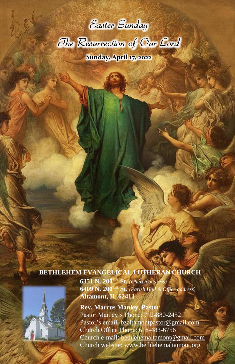



**Sunday, April 17, 2022**

## **BETHLEHEM EVANGELICAL LUTHERAN CHURCH**

**6351 N. 200TH St.** *(Church address)* **6409 N. 200TH St.** *(Parish Hall & Office address)* **Altamont, IL 62411**

**Rev. Marcus Manley, Pastor** Pastor Manley's Phone: 712-880-2452 Pastor's email: [bzaltamontpastor@gmail.com](mailto:bzaltamontpastor@gmail.com) Church Office Phone: 618-483-6756 Church e-mail: [bethlehemaltamont@gmail.com](mailto:bethlehemaltamont@gmail.com) Church website: [www.bethlehemaltamont.org](http://www.bethlehemaltamont.org/)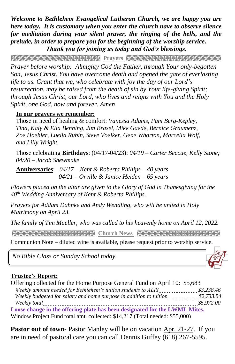*Welcome to Bethlehem Evangelical Lutheran Church, we are happy you are here today. It is customary when you enter the church nave to observe silence for meditation during your silent prayer, the ringing of the bells, and the prelude, in order to prepare you for the beginning of the worship service. Thank you for joining us today and God's blessings.*

**PRAYARANA AND TEXT PERSONAL PROPERTY AND TEXT AND TEXT AND TEXT AND TEXT AND TEXT AND TEXT AND TEXT** *Prayer before worship: Almighty God the Father, through Your only-begotten Son, Jesus Christ, You have overcome death and opened the gate of everlasting life to us. Grant that we, who celebrate with joy the day of our Lord's resurrection, may be raised from the death of sin by Your life-giving Spirit; through Jesus Christ, our Lord, who lives and reigns with You and the Holy Spirit, one God, now and forever. Amen*

#### **In our prayers we remember:**

Those in need of healing & comfort: *Vanessa Adams, Pam Berg-Kepley, Tina, Kaly & Ella Benning, Jim Brasel, Mike Gaede, Bernice Graumenz, Zoe Hoehler, Luella Rubin, Steve Voelker, Gene Wharton, Marcella Wolf, and Lilly Wright.*

Those celebrating **Birthdays**: (04/17-04/23): *04/19 – Carter Beccue, Kelly Stone; 04/20 – Jacob Shewmake*

**Anniversaries**: *04/17 – Kent & Roberta Phillips – 40 years 04/21 – Orville & Janice Heiden – 65 years*

*Flowers placed on the altar are given to the Glory of God in Thanksgiving for the 40th Wedding Anniversary of Kent & Roberta Phillips.*

*Prayers for Addam Dahnke and Andy Wendling, who will be united in Holy Matrimony on April 23.*

*The family of Tim Mueller, who was called to his heavenly home on April 12, 2022.*

**Church News Strategram Andrews Strategram Andrewsking** 

Communion Note – diluted wine is available, please request prior to worship service. 

*No Bible Class or Sunday School today.*

#### **Trustee's Report:**

Offering collected for the Home Purpose General Fund on April 10: \$5,683  *Weekly amount needed for Bethlehem's tuition students to ALIS \$3,238.46 Weekly budgeted for salary and home purpose in addition to tuition \$2,733.54 Weekly total \$5,972.00* **Loose change in the offering plate has been designated for the LWML Mites.**

Window Project Fund total amt. collected: \$14,217 (Total needed: \$55,000)

Pastor out of town- Pastor Manley will be on vacation Apr. 21-27. If you are in need of pastoral care you can call Dennis Guffey (618) 267-5595.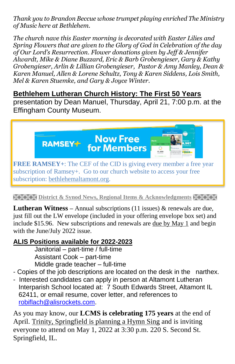*Thank you to Brandon Beccue whose trumpet playing enriched The Ministry of Music here at Bethlehem.*

*The church nave this Easter morning is decorated with Easter Lilies and Spring Flowers that are given to the Glory of God in Celebration of the day of Our Lord's Resurrection. Flower donations given by Jeff & Jennifer Alwardt, Mike & Diane Buzzard, Eric & Barb Grobengieser, Gary & Kathy Grobengieser, Arlin & Lillian Grobengieser, Pastor & Amy Manley, Dean & Karen Manuel, Allen & Lorene Schultz, Tony & Karen Siddens, Lois Smith, Mel & Karen Stuemke, and Gary & Joyce Winter.*

### **Bethlehem Lutheran Church History: The First 50 Years**

presentation by Dean Manuel, Thursday, April 21, 7:00 p.m. at the Effingham County Museum.



**EXERTA District & Synod News, Regional Items & Acknowledgments EXERTE** 

**Lutheran Witness** – Annual subscriptions (11 issues) & renewals are due, just fill out the LW envelope (included in your offering envelope box set) and include \$15.96. New subscriptions and renewals are due by May 1 and begin with the June/July 2022 issue.

## **ALIS Positions available for 2022-2023**

Janitorial – part-time / full-time Assistant Cook – part-time Middle grade teacher – full-time

- Copies of the job descriptions are located on the desk in the narthex.
- Interested candidates can apply in person at Altamont Lutheran Interparish School located at: 7 South Edwards Street, Altamont IL 62411, or email resume, cover letter, and references to [robiflach@alisrockets.com.](mailto:robiflach@alisrockets.com)

As you may know, our **LCMS is celebrating 175 years** at the end of April. Trinity, Springfield is planning a Hymn Sing and is inviting everyone to attend on May 1, 2022 at 3:30 p.m. 220 S. Second St. Springfield, IL.